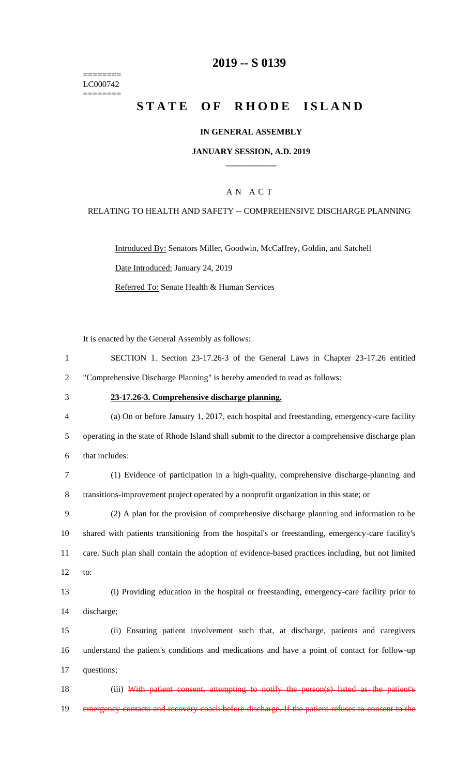======== LC000742  $=$ 

### **2019 -- S 0139**

# STATE OF RHODE ISLAND

#### **IN GENERAL ASSEMBLY**

#### **JANUARY SESSION, A.D. 2019 \_\_\_\_\_\_\_\_\_\_\_\_**

#### A N A C T

#### RELATING TO HEALTH AND SAFETY -- COMPREHENSIVE DISCHARGE PLANNING

Introduced By: Senators Miller, Goodwin, McCaffrey, Goldin, and Satchell Date Introduced: January 24, 2019 Referred To: Senate Health & Human Services

It is enacted by the General Assembly as follows:

| 1              | SECTION 1. Section 23-17.26-3 of the General Laws in Chapter 23-17.26 entitled                     |
|----------------|----------------------------------------------------------------------------------------------------|
| $\overline{2}$ | "Comprehensive Discharge Planning" is hereby amended to read as follows:                           |
| 3              | 23-17.26-3. Comprehensive discharge planning.                                                      |
| 4              | (a) On or before January 1, 2017, each hospital and freestanding, emergency-care facility          |
| 5              | operating in the state of Rhode Island shall submit to the director a comprehensive discharge plan |
| 6              | that includes:                                                                                     |
| 7              | (1) Evidence of participation in a high-quality, comprehensive discharge-planning and              |
| 8              | transitions-improvement project operated by a nonprofit organization in this state; or             |
| 9              | (2) A plan for the provision of comprehensive discharge planning and information to be             |
| 10             | shared with patients transitioning from the hospital's or freestanding, emergency-care facility's  |
| 11             | care. Such plan shall contain the adoption of evidence-based practices including, but not limited  |
| 12             | to:                                                                                                |
| 13             | (i) Providing education in the hospital or freestanding, emergency-care facility prior to          |
| 14             | discharge;                                                                                         |
| 15             | (ii) Ensuring patient involvement such that, at discharge, patients and caregivers                 |
| 16             | understand the patient's conditions and medications and have a point of contact for follow-up      |
| 17             | questions;                                                                                         |
| 18             | (iii) With patient consent, attempting to notify the person(s) listed as the patient's             |
| 19             | emergency contacts and recovery coach before discharge. If the patient refuses to consent to the   |
|                |                                                                                                    |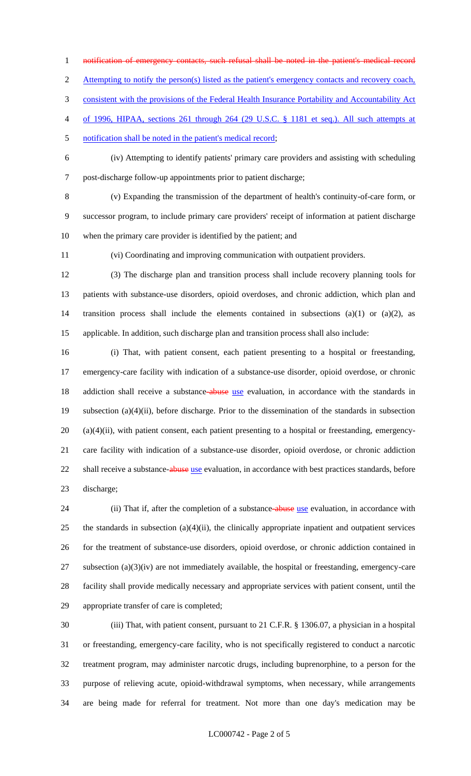notification of emergency contacts, such refusal shall be noted in the patient's medical record

2 Attempting to notify the person(s) listed as the patient's emergency contacts and recovery coach,

consistent with the provisions of the Federal Health Insurance Portability and Accountability Act

of 1996, HIPAA, sections 261 through 264 (29 U.S.C. § 1181 et seq.). All such attempts at

5 notification shall be noted in the patient's medical record;

 (iv) Attempting to identify patients' primary care providers and assisting with scheduling post-discharge follow-up appointments prior to patient discharge;

 (v) Expanding the transmission of the department of health's continuity-of-care form, or successor program, to include primary care providers' receipt of information at patient discharge when the primary care provider is identified by the patient; and

(vi) Coordinating and improving communication with outpatient providers.

 (3) The discharge plan and transition process shall include recovery planning tools for patients with substance-use disorders, opioid overdoses, and chronic addiction, which plan and transition process shall include the elements contained in subsections (a)(1) or (a)(2), as applicable. In addition, such discharge plan and transition process shall also include:

 (i) That, with patient consent, each patient presenting to a hospital or freestanding, emergency-care facility with indication of a substance-use disorder, opioid overdose, or chronic 18 addiction shall receive a substance-abuse use evaluation, in accordance with the standards in subsection (a)(4)(ii), before discharge. Prior to the dissemination of the standards in subsection (a)(4)(ii), with patient consent, each patient presenting to a hospital or freestanding, emergency- care facility with indication of a substance-use disorder, opioid overdose, or chronic addiction 22 shall receive a substance-abuse use evaluation, in accordance with best practices standards, before discharge;

24 (ii) That if, after the completion of a substance-abuse use evaluation, in accordance with the standards in subsection (a)(4)(ii), the clinically appropriate inpatient and outpatient services for the treatment of substance-use disorders, opioid overdose, or chronic addiction contained in subsection (a)(3)(iv) are not immediately available, the hospital or freestanding, emergency-care facility shall provide medically necessary and appropriate services with patient consent, until the appropriate transfer of care is completed;

 (iii) That, with patient consent, pursuant to 21 C.F.R. § 1306.07, a physician in a hospital or freestanding, emergency-care facility, who is not specifically registered to conduct a narcotic treatment program, may administer narcotic drugs, including buprenorphine, to a person for the purpose of relieving acute, opioid-withdrawal symptoms, when necessary, while arrangements are being made for referral for treatment. Not more than one day's medication may be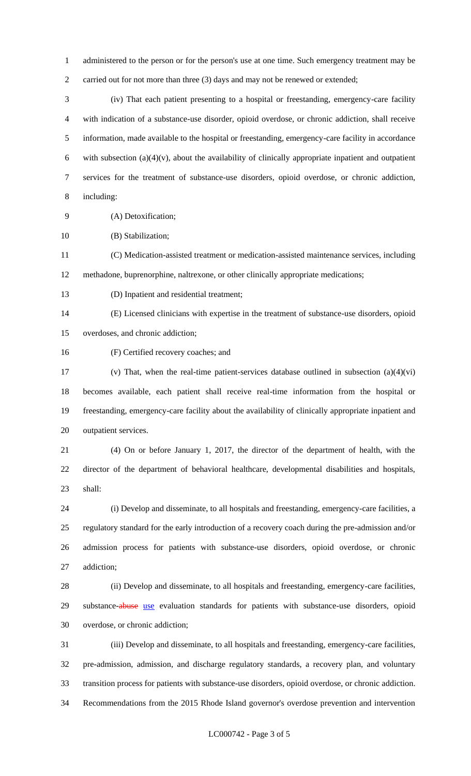administered to the person or for the person's use at one time. Such emergency treatment may be 2 carried out for not more than three (3) days and may not be renewed or extended;

 (iv) That each patient presenting to a hospital or freestanding, emergency-care facility with indication of a substance-use disorder, opioid overdose, or chronic addiction, shall receive information, made available to the hospital or freestanding, emergency-care facility in accordance 6 with subsection  $(a)(4)(v)$ , about the availability of clinically appropriate inpatient and outpatient services for the treatment of substance-use disorders, opioid overdose, or chronic addiction, including:

(A) Detoxification;

(B) Stabilization;

 (C) Medication-assisted treatment or medication-assisted maintenance services, including methadone, buprenorphine, naltrexone, or other clinically appropriate medications;

(D) Inpatient and residential treatment;

 (E) Licensed clinicians with expertise in the treatment of substance-use disorders, opioid overdoses, and chronic addiction;

(F) Certified recovery coaches; and

 (v) That, when the real-time patient-services database outlined in subsection (a)(4)(vi) becomes available, each patient shall receive real-time information from the hospital or freestanding, emergency-care facility about the availability of clinically appropriate inpatient and outpatient services.

 (4) On or before January 1, 2017, the director of the department of health, with the director of the department of behavioral healthcare, developmental disabilities and hospitals, shall:

 (i) Develop and disseminate, to all hospitals and freestanding, emergency-care facilities, a regulatory standard for the early introduction of a recovery coach during the pre-admission and/or admission process for patients with substance-use disorders, opioid overdose, or chronic addiction;

 (ii) Develop and disseminate, to all hospitals and freestanding, emergency-care facilities, 29 substance-abuse use evaluation standards for patients with substance-use disorders, opioid overdose, or chronic addiction;

 (iii) Develop and disseminate, to all hospitals and freestanding, emergency-care facilities, pre-admission, admission, and discharge regulatory standards, a recovery plan, and voluntary transition process for patients with substance-use disorders, opioid overdose, or chronic addiction. Recommendations from the 2015 Rhode Island governor's overdose prevention and intervention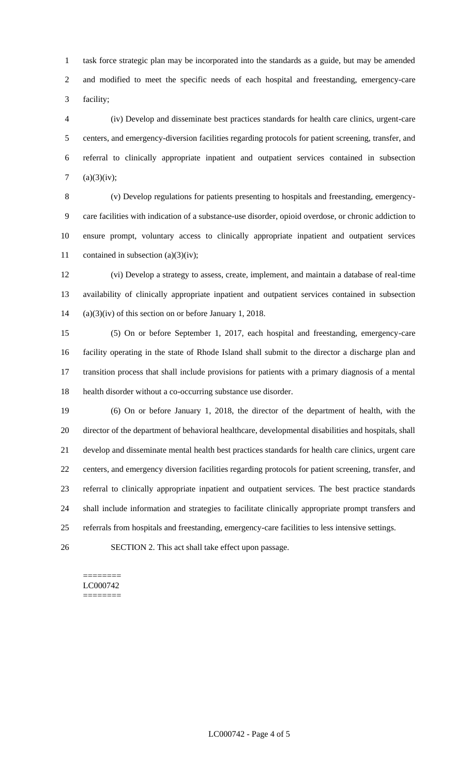task force strategic plan may be incorporated into the standards as a guide, but may be amended and modified to meet the specific needs of each hospital and freestanding, emergency-care facility;

 (iv) Develop and disseminate best practices standards for health care clinics, urgent-care centers, and emergency-diversion facilities regarding protocols for patient screening, transfer, and referral to clinically appropriate inpatient and outpatient services contained in subsection 7 (a)(3)(iv);

 (v) Develop regulations for patients presenting to hospitals and freestanding, emergency- care facilities with indication of a substance-use disorder, opioid overdose, or chronic addiction to ensure prompt, voluntary access to clinically appropriate inpatient and outpatient services 11 contained in subsection  $(a)(3)(iv)$ ;

 (vi) Develop a strategy to assess, create, implement, and maintain a database of real-time availability of clinically appropriate inpatient and outpatient services contained in subsection (a)(3)(iv) of this section on or before January 1, 2018.

 (5) On or before September 1, 2017, each hospital and freestanding, emergency-care facility operating in the state of Rhode Island shall submit to the director a discharge plan and transition process that shall include provisions for patients with a primary diagnosis of a mental health disorder without a co-occurring substance use disorder.

 (6) On or before January 1, 2018, the director of the department of health, with the director of the department of behavioral healthcare, developmental disabilities and hospitals, shall develop and disseminate mental health best practices standards for health care clinics, urgent care centers, and emergency diversion facilities regarding protocols for patient screening, transfer, and referral to clinically appropriate inpatient and outpatient services. The best practice standards shall include information and strategies to facilitate clinically appropriate prompt transfers and referrals from hospitals and freestanding, emergency-care facilities to less intensive settings.

SECTION 2. This act shall take effect upon passage.

======== LC000742 ========